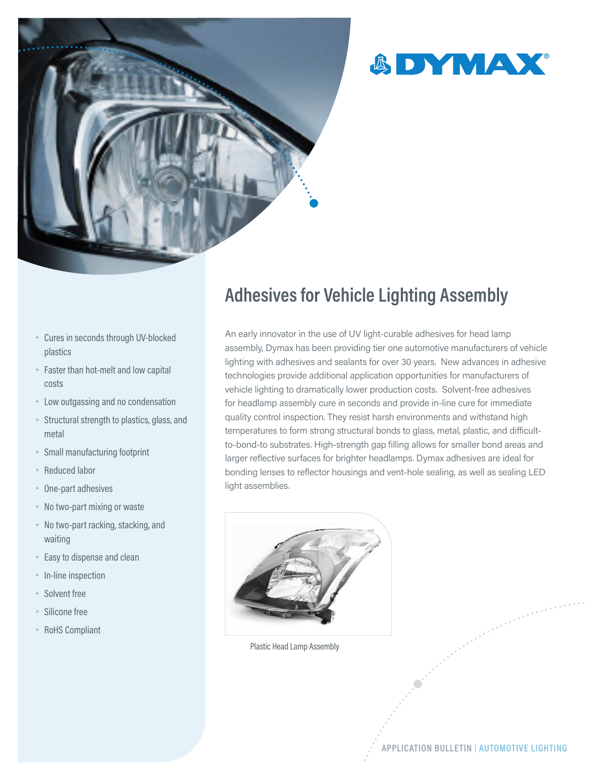



- Cures in seconds through UV-blocked plastics
- Faster than hot-melt and low capital costs
- Low outgassing and no condensation
- Structural strength to plastics, glass, and metal
- Small manufacturing footprint
- Reduced labor
- One-part adhesives
- No two-part mixing or waste
- No two-part racking, stacking, and waiting
- Easy to dispense and clean
- In-line inspection
- Solvent free
- Silicone free
- RoHS Compliant

## **Adhesives for Vehicle Lighting Assembly**

An early innovator in the use of UV light-curable adhesives for head lamp assembly, Dymax has been providing tier one automotive manufacturers of vehicle lighting with adhesives and sealants for over 30 years. New advances in adhesive technologies provide additional application opportunities for manufacturers of vehicle lighting to dramatically lower production costs. Solvent-free adhesives for headlamp assembly cure in seconds and provide in-line cure for immediate quality control inspection. They resist harsh environments and withstand high temperatures to form strong structural bonds to glass, metal, plastic, and difficultto-bond-to substrates. High-strength gap filling allows for smaller bond areas and larger reflective surfaces for brighter headlamps. Dymax adhesives are ideal for bonding lenses to reflector housings and vent-hole sealing, as well as sealing LED light assemblies.



Plastic Head Lamp Assembly